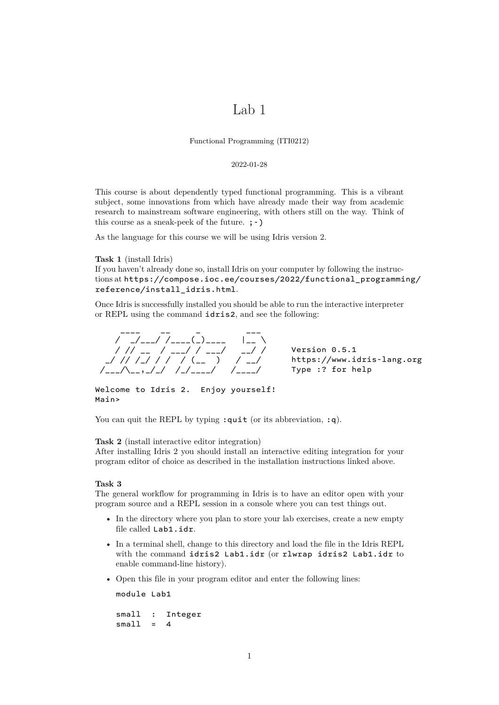# Lab 1

Functional Programming (ITI0212)

## 2022-01-28

This course is about dependently typed functional programming. This is a vibrant subject, some innovations from which have already made their way from academic research to mainstream software engineering, with others still on the way. Think of this course as a sneak-peek of the future.  $;$ -)

As the language for this course we will be using Idris version 2.

**Task 1** (install Idris) If you haven't already done so, install Idris on your computer by following the instructions at https://compose.ioc.ee/courses/2022/functional\_programming/ reference/install\_idris.html.

Once Idris is successfully installed you should be able to run the interactive interpreter or REPL using the command idris2[, and see the following:](https://compose.ioc.ee/courses/2022/functional_programming/reference/install_idris.html)

[\\_\\_\\_\\_ \\_\\_](https://compose.ioc.ee/courses/2022/functional_programming/reference/install_idris.html) \_ \_ \_ \_ / \_/\_\_\_/ /\_\_\_\_(\_)\_\_\_\_ |\_\_ \ / // \_\_ / \_\_\_/ / \_\_\_/ \_\_/ / Version 0.5.1 \_/ // /\_/ / / / (\_\_ ) / \_\_/ https://www.idris-lang.org /\_\_\_/\\_\_,\_/\_/ /\_/\_\_\_\_/ /\_\_\_\_/ Type :? for help

Welcome to Idris 2. Enjoy yourself! Main>

You can quit the REPL by typing  $:q$ uit (or its abbreviation,  $:q$ ).

**Task 2** (install interactive editor integration)

After installing Idris 2 you should install an interactive editing integration for your program editor of choice as described in the installation instructions linked above.

## **Task 3**

The general workflow for programming in Idris is to have an editor open with your program source and a REPL session in a console where you can test things out.

- In the directory where you plan to store your lab exercises, create a new empty file called Lab1.idr.
- In a terminal shell, change to this directory and load the file in the Idris REPL with the command idris2 Lab1.idr (or rlwrap idris2 Lab1.idr to enable command-line history).
- Open this file in your program editor and enter the following lines:

module Lab1

small : Integer  $small = 4$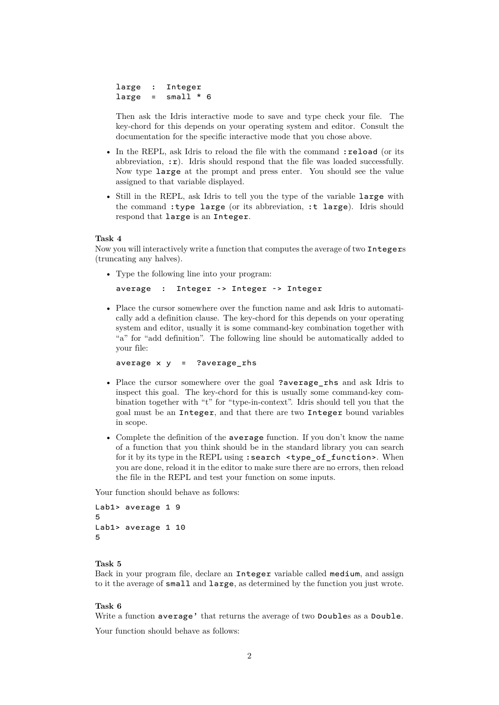```
large : Integer
large = small * 6
```
Then ask the Idris interactive mode to save and type check your file. The key-chord for this depends on your operating system and editor. Consult the documentation for the specific interactive mode that you chose above.

- In the REPL, ask Idris to reload the file with the command : reload (or its abbreviation,  $:\mathbf{r})$ . Idris should respond that the file was loaded successfully. Now type large at the prompt and press enter. You should see the value assigned to that variable displayed.
- Still in the REPL, ask Idris to tell you the type of the variable large with the command :type large (or its abbreviation, :t large). Idris should respond that large is an Integer.

#### **Task 4**

Now you will interactively write a function that computes the average of two Integers (truncating any halves).

• Type the following line into your program:

```
average : Integer -> Integer -> Integer
```
• Place the cursor somewhere over the function name and ask Idris to automatically add a definition clause. The key-chord for this depends on your operating system and editor, usually it is some command-key combination together with "a" for "add definition". The following line should be automatically added to your file:

```
average x \ y = ?average_rhs
```
- Place the cursor somewhere over the goal ?average\_rhs and ask Idris to inspect this goal. The key-chord for this is usually some command-key combination together with "t" for "type-in-context". Idris should tell you that the goal must be an Integer, and that there are two Integer bound variables in scope.
- Complete the definition of the average function. If you don't know the name of a function that you think should be in the standard library you can search for it by its type in the REPL using : search <type\_of\_function>. When you are done, reload it in the editor to make sure there are no errors, then reload the file in the REPL and test your function on some inputs.

Your function should behave as follows:

```
Lab1> average 1 9
5
Lab1> average 1 10
5
```
# **Task 5**

Back in your program file, declare an Integer variable called medium, and assign to it the average of small and large, as determined by the function you just wrote.

# **Task 6**

Write a function average' that returns the average of two Doubles as a Double.

Your function should behave as follows: